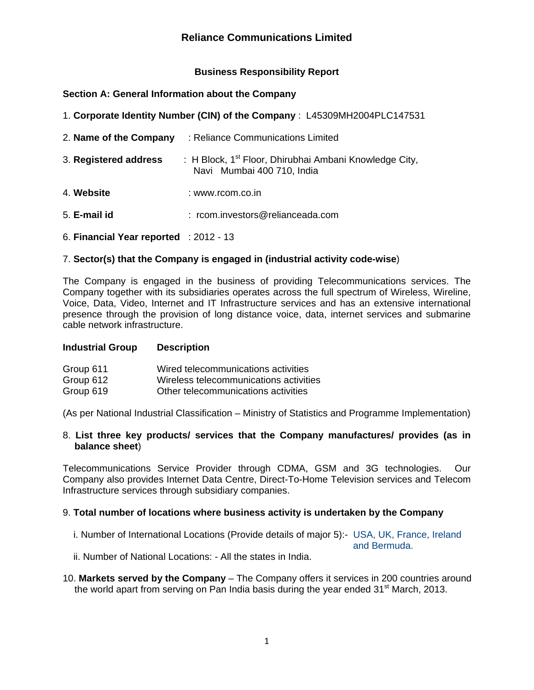## **Business Responsibility Report**

## **Section A: General Information about the Company**

| 1. Corporate Identity Number (CIN) of the Company : L45309MH2004PLC147531 |                                                                                                  |  |  |  |  |
|---------------------------------------------------------------------------|--------------------------------------------------------------------------------------------------|--|--|--|--|
| 2. Name of the Company<br>: Reliance Communications Limited               |                                                                                                  |  |  |  |  |
| 3. Registered address                                                     | : H Block, 1 <sup>st</sup> Floor, Dhirubhai Ambani Knowledge City,<br>Navi Mumbai 400 710, India |  |  |  |  |
| 4. Website                                                                | : www.rcom.co.in                                                                                 |  |  |  |  |
| 5. E-mail id                                                              | : rcom.investors@relianceada.com                                                                 |  |  |  |  |
| 6. Financial Year reported : $2012 - 13$                                  |                                                                                                  |  |  |  |  |

# 7. **Sector(s) that the Company is engaged in (industrial activity code-wise**)

The Company is engaged in the business of providing Telecommunications services. The Company together with its subsidiaries operates across the full spectrum of Wireless, Wireline, Voice, Data, Video, Internet and IT Infrastructure services and has an extensive international presence through the provision of long distance voice, data, internet services and submarine cable network infrastructure.

#### **Industrial Group Description**

| Group 611 | Wired telecommunications activities    |
|-----------|----------------------------------------|
| Group 612 | Wireless telecommunications activities |
| Group 619 | Other telecommunications activities    |

(As per National Industrial Classification – Ministry of Statistics and Programme Implementation)

## 8. **List three key products/ services that the Company manufactures/ provides (as in balance sheet**)

Telecommunications Service Provider through CDMA, GSM and 3G technologies. Our Company also provides Internet Data Centre, Direct-To-Home Television services and Telecom Infrastructure services through subsidiary companies.

## 9. **Total number of locations where business activity is undertaken by the Company**

i. Number of International Locations (Provide details of major 5):- USA, UK, France, Ireland

and Bermuda.

ii. Number of National Locations: - All the states in India.

10. **Markets served by the Company** – The Company offers it services in 200 countries around the world apart from serving on Pan India basis during the year ended  $31<sup>st</sup>$  March, 2013.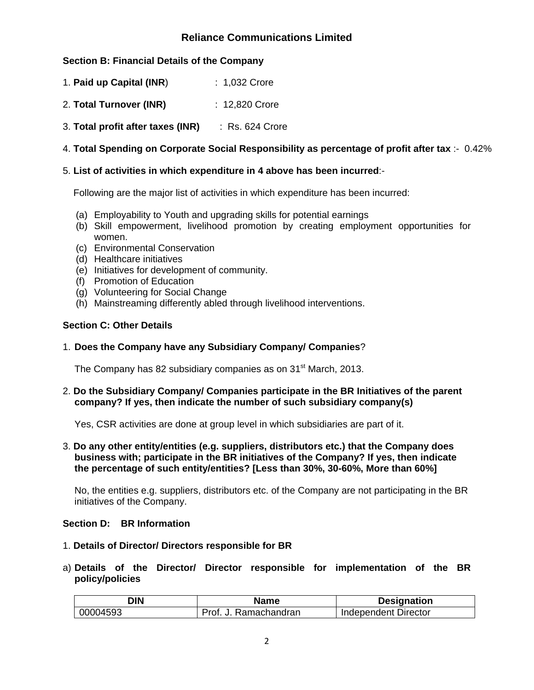# **Section B: Financial Details of the Company**

- 1. **Paid up Capital (INR**) : 1,032 Crore
- 2. **Total Turnover (INR)** : 12,820 Crore
- 3. **Total profit after taxes (INR)** : Rs. 624 Crore

# 4. **Total Spending on Corporate Social Responsibility as percentage of profit after tax** :- 0.42%

## 5. **List of activities in which expenditure in 4 above has been incurred**:-

Following are the major list of activities in which expenditure has been incurred:

- (a) Employability to Youth and upgrading skills for potential earnings
- (b) Skill empowerment, livelihood promotion by creating employment opportunities for women.
- (c) Environmental Conservation
- (d) Healthcare initiatives
- (e) Initiatives for development of community.
- (f) Promotion of Education
- (g) Volunteering for Social Change
- (h) Mainstreaming differently abled through livelihood interventions.

### **Section C: Other Details**

### 1. **Does the Company have any Subsidiary Company/ Companies**?

The Company has 82 subsidiary companies as on 31<sup>st</sup> March, 2013.

### 2. **Do the Subsidiary Company/ Companies participate in the BR Initiatives of the parent company? If yes, then indicate the number of such subsidiary company(s)**

Yes, CSR activities are done at group level in which subsidiaries are part of it.

3. **Do any other entity/entities (e.g. suppliers, distributors etc.) that the Company does business with; participate in the BR initiatives of the Company? If yes, then indicate the percentage of such entity/entities? [Less than 30%, 30-60%, More than 60%]** 

No, the entities e.g. suppliers, distributors etc. of the Company are not participating in the BR initiatives of the Company.

## **Section D: BR Information**

- 1. **Details of Director/ Directors responsible for BR**
- a) **Details of the Director/ Director responsible for implementation of the BR policy/policies**

| <b>DIN</b> | Name                  | <b>Designation</b>   |
|------------|-----------------------|----------------------|
| 00004593   | Ramachandran<br>Prof. | Independent Director |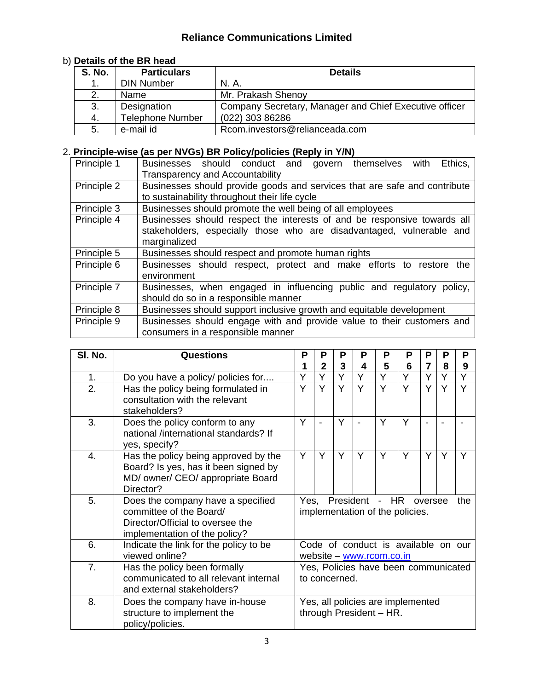# b) **Details of the BR head**

| <b>S. No.</b> | <b>Particulars</b>      | <b>Details</b>                                         |
|---------------|-------------------------|--------------------------------------------------------|
|               | <b>DIN Number</b>       | N. A.                                                  |
|               | Name                    | Mr. Prakash Shenoy                                     |
| 3.            | Designation             | Company Secretary, Manager and Chief Executive officer |
| 4.            | <b>Telephone Number</b> | (022) 303 86286                                        |
| 5.            | e-mail id               | Rcom.investors@relianceada.com                         |

# 2. **Principle-wise (as per NVGs) BR Policy/policies (Reply in Y/N)**

| Principle 1 | Businesses should conduct and govern themselves<br>Ethics,<br>with        |
|-------------|---------------------------------------------------------------------------|
|             | <b>Transparency and Accountability</b>                                    |
| Principle 2 | Businesses should provide goods and services that are safe and contribute |
|             | to sustainability throughout their life cycle                             |
| Principle 3 | Businesses should promote the well being of all employees                 |
| Principle 4 | Businesses should respect the interests of and be responsive towards all  |
|             | stakeholders, especially those who are disadvantaged, vulnerable and      |
|             | marginalized                                                              |
| Principle 5 | Businesses should respect and promote human rights                        |
| Principle 6 | Businesses should respect, protect and make efforts to restore the        |
|             | environment                                                               |
| Principle 7 | Businesses, when engaged in influencing public and regulatory policy,     |
|             | should do so in a responsible manner                                      |
| Principle 8 | Businesses should support inclusive growth and equitable development      |
| Principle 9 | Businesses should engage with and provide value to their customers and    |
|             | consumers in a responsible manner                                         |

| SI. No. | <b>Questions</b>                                                                                                                  | Р                                                     | P              | Р | Р                        | Р | P                                   | P       | Р | Р   |
|---------|-----------------------------------------------------------------------------------------------------------------------------------|-------------------------------------------------------|----------------|---|--------------------------|---|-------------------------------------|---------|---|-----|
|         |                                                                                                                                   |                                                       | $\overline{2}$ | 3 | 4                        | 5 | 6                                   | 7       | 8 | 9   |
| 1.      | Do you have a policy/ policies for                                                                                                | Ý                                                     | Y              | Ÿ | Y                        | Y | Y                                   | Y       | Y | Ý   |
| 2.      | Has the policy being formulated in<br>consultation with the relevant<br>stakeholders?                                             | Ý                                                     | Ÿ              | Y | Ý                        | Y | Y                                   | ٧       |   | Y   |
| 3.      | Does the policy conform to any<br>national /international standards? If<br>yes, specify?                                          | Y                                                     |                | Y |                          | Y | Y                                   |         |   |     |
| 4.      | Has the policy being approved by the<br>Board? Is yes, has it been signed by<br>MD/ owner/ CEO/ appropriate Board<br>Director?    | Y                                                     | Y              | Y | Y                        | Y | Y                                   | Y       | Y | Y   |
| 5.      | Does the company have a specified<br>committee of the Board/<br>Director/Official to oversee the<br>implementation of the policy? | Yes.                                                  |                |   | President - HR           |   | implementation of the policies.     | oversee |   | the |
| 6.      | Indicate the link for the policy to be<br>viewed online?                                                                          |                                                       |                |   | website - www.rcom.co.in |   | Code of conduct is available on our |         |   |     |
| 7.      | Has the policy been formally<br>communicated to all relevant internal<br>and external stakeholders?                               | Yes, Policies have been communicated<br>to concerned. |                |   |                          |   |                                     |         |   |     |
| 8.      | Does the company have in-house<br>structure to implement the<br>policy/policies.                                                  |                                                       |                |   | through President - HR.  |   | Yes, all policies are implemented   |         |   |     |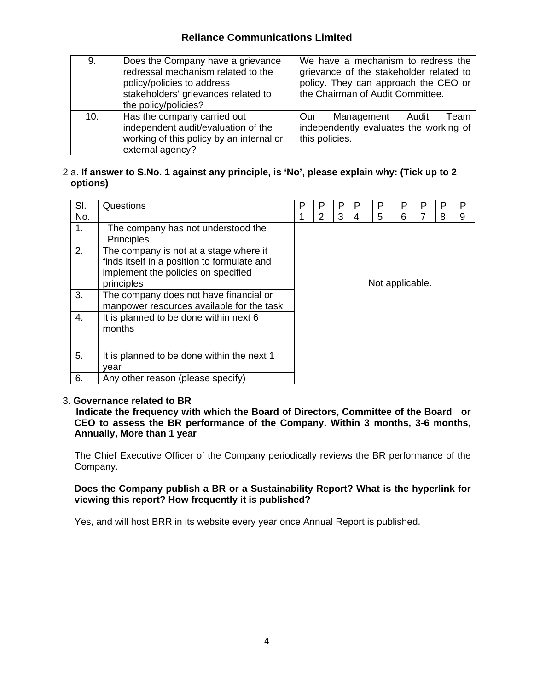| 9.  | Does the Company have a grievance<br>redressal mechanism related to the<br>policy/policies to address<br>stakeholders' grievances related to<br>the policy/policies? | We have a mechanism to redress the<br>grievance of the stakeholder related to<br>policy. They can approach the CEO or<br>the Chairman of Audit Committee. |
|-----|----------------------------------------------------------------------------------------------------------------------------------------------------------------------|-----------------------------------------------------------------------------------------------------------------------------------------------------------|
| 10. | Has the company carried out<br>independent audit/evaluation of the<br>working of this policy by an internal or<br>external agency?                                   | Management Audit<br>Team<br>Our<br>independently evaluates the working of<br>this policies.                                                               |

## 2 a. **If answer to S.No. 1 against any principle, is 'No', please explain why: (Tick up to 2 options)**

| SI. | Questions                                                                                                                                  | P               | P | P | P | P | P | Р | P | P     |
|-----|--------------------------------------------------------------------------------------------------------------------------------------------|-----------------|---|---|---|---|---|---|---|-------|
| No. |                                                                                                                                            |                 | 2 | 3 |   | 5 | 6 |   | 8 | $9\,$ |
| 1.  | The company has not understood the<br><b>Principles</b>                                                                                    |                 |   |   |   |   |   |   |   |       |
| 2.  | The company is not at a stage where it<br>finds itself in a position to formulate and<br>implement the policies on specified<br>principles | Not applicable. |   |   |   |   |   |   |   |       |
| 3.  | The company does not have financial or<br>manpower resources available for the task                                                        |                 |   |   |   |   |   |   |   |       |
| 4.  | It is planned to be done within next 6<br>months                                                                                           |                 |   |   |   |   |   |   |   |       |
| 5.  | It is planned to be done within the next 1<br>year                                                                                         |                 |   |   |   |   |   |   |   |       |
| 6.  | Any other reason (please specify)                                                                                                          |                 |   |   |   |   |   |   |   |       |

## 3. **Governance related to BR**

 **Indicate the frequency with which the Board of Directors, Committee of the Board or CEO to assess the BR performance of the Company. Within 3 months, 3-6 months, Annually, More than 1 year** 

The Chief Executive Officer of the Company periodically reviews the BR performance of the Company.

**Does the Company publish a BR or a Sustainability Report? What is the hyperlink for viewing this report? How frequently it is published?** 

Yes, and will host BRR in its website every year once Annual Report is published.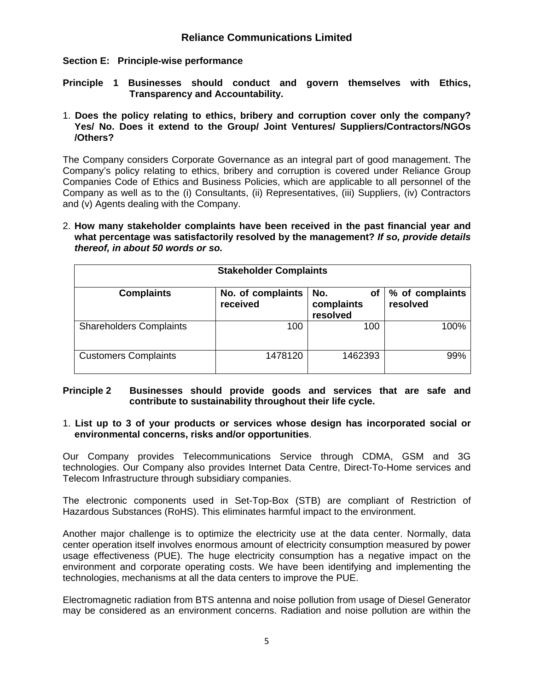## **Section E: Principle-wise performance**

**Principle 1 Businesses should conduct and govern themselves with Ethics, Transparency and Accountability.**

1. **Does the policy relating to ethics, bribery and corruption cover only the company? Yes/ No. Does it extend to the Group/ Joint Ventures/ Suppliers/Contractors/NGOs /Others?** 

The Company considers Corporate Governance as an integral part of good management. The Company's policy relating to ethics, bribery and corruption is covered under Reliance Group Companies Code of Ethics and Business Policies, which are applicable to all personnel of the Company as well as to the (i) Consultants, (ii) Representatives, (iii) Suppliers, (iv) Contractors and (v) Agents dealing with the Company.

2. **How many stakeholder complaints have been received in the past financial year and what percentage was satisfactorily resolved by the management?** *If so, provide details thereof, in about 50 words or so.* 

| <b>Stakeholder Complaints</b>  |                               |                                     |                             |  |  |  |
|--------------------------------|-------------------------------|-------------------------------------|-----------------------------|--|--|--|
| <b>Complaints</b>              | No. of complaints<br>received | No.<br>оf<br>complaints<br>resolved | % of complaints<br>resolved |  |  |  |
| <b>Shareholders Complaints</b> | 100                           | 100                                 | 100%                        |  |  |  |
| <b>Customers Complaints</b>    | 1478120                       | 1462393                             | 99%                         |  |  |  |

### **Principle 2 Businesses should provide goods and services that are safe and contribute to sustainability throughout their life cycle.**

### 1. **List up to 3 of your products or services whose design has incorporated social or environmental concerns, risks and/or opportunities**.

Our Company provides Telecommunications Service through CDMA, GSM and 3G technologies. Our Company also provides Internet Data Centre, Direct-To-Home services and Telecom Infrastructure through subsidiary companies.

The electronic components used in Set-Top-Box (STB) are compliant of Restriction of Hazardous Substances (RoHS). This eliminates harmful impact to the environment.

Another major challenge is to optimize the electricity use at the data center. Normally, data center operation itself involves enormous amount of electricity consumption measured by power usage effectiveness (PUE). The huge electricity consumption has a negative impact on the environment and corporate operating costs. We have been identifying and implementing the technologies, mechanisms at all the data centers to improve the PUE.

Electromagnetic radiation from BTS antenna and noise pollution from usage of Diesel Generator may be considered as an environment concerns. Radiation and noise pollution are within the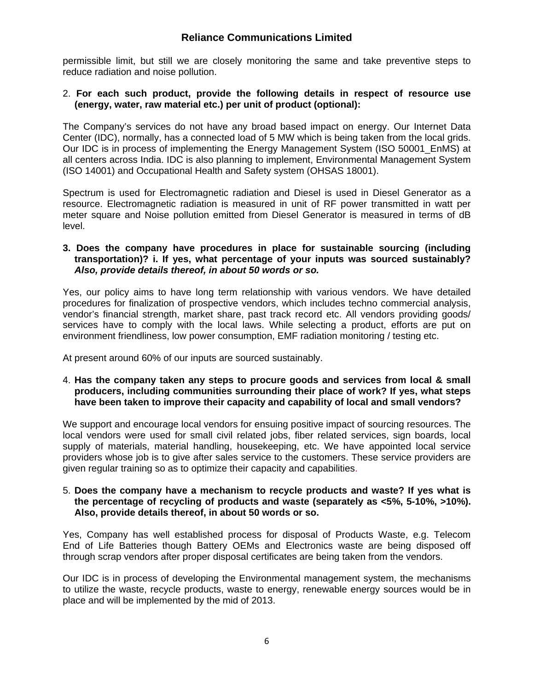permissible limit, but still we are closely monitoring the same and take preventive steps to reduce radiation and noise pollution.

#### 2. **For each such product, provide the following details in respect of resource use (energy, water, raw material etc.) per unit of product (optional):**

The Company's services do not have any broad based impact on energy. Our Internet Data Center (IDC), normally, has a connected load of 5 MW which is being taken from the local grids. Our IDC is in process of implementing the Energy Management System (ISO 50001\_EnMS) at all centers across India. IDC is also planning to implement, Environmental Management System (ISO 14001) and Occupational Health and Safety system (OHSAS 18001).

Spectrum is used for Electromagnetic radiation and Diesel is used in Diesel Generator as a resource. Electromagnetic radiation is measured in unit of RF power transmitted in watt per meter square and Noise pollution emitted from Diesel Generator is measured in terms of dB level.

#### **3. Does the company have procedures in place for sustainable sourcing (including transportation)? i. If yes, what percentage of your inputs was sourced sustainably?**  *Also, provide details thereof, in about 50 words or so.*

Yes, our policy aims to have long term relationship with various vendors. We have detailed procedures for finalization of prospective vendors, which includes techno commercial analysis, vendor's financial strength, market share, past track record etc. All vendors providing goods/ services have to comply with the local laws. While selecting a product, efforts are put on environment friendliness, low power consumption, EMF radiation monitoring / testing etc.

At present around 60% of our inputs are sourced sustainably.

### 4. **Has the company taken any steps to procure goods and services from local & small producers, including communities surrounding their place of work? If yes, what steps have been taken to improve their capacity and capability of local and small vendors?**

We support and encourage local vendors for ensuing positive impact of sourcing resources. The local vendors were used for small civil related jobs, fiber related services, sign boards, local supply of materials, material handling, housekeeping, etc. We have appointed local service providers whose job is to give after sales service to the customers. These service providers are given regular training so as to optimize their capacity and capabilities.

#### 5. **Does the company have a mechanism to recycle products and waste? If yes what is the percentage of recycling of products and waste (separately as <5%, 5-10%, >10%). Also, provide details thereof, in about 50 words or so.**

Yes, Company has well established process for disposal of Products Waste, e.g. Telecom End of Life Batteries though Battery OEMs and Electronics waste are being disposed off through scrap vendors after proper disposal certificates are being taken from the vendors.

Our IDC is in process of developing the Environmental management system, the mechanisms to utilize the waste, recycle products, waste to energy, renewable energy sources would be in place and will be implemented by the mid of 2013.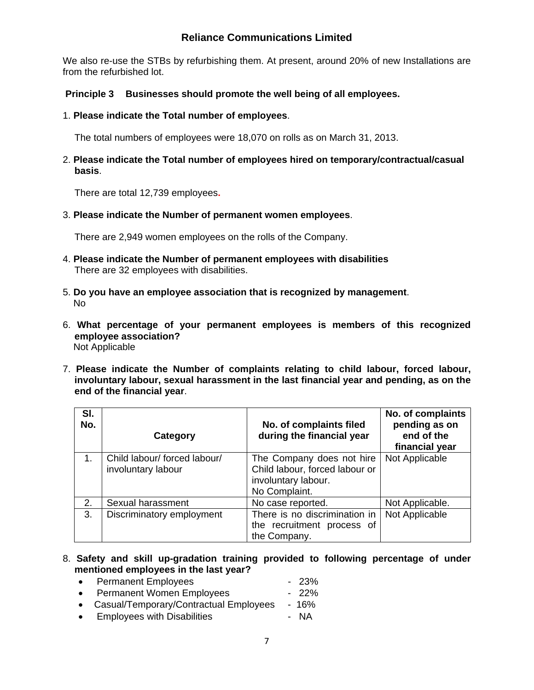We also re-use the STBs by refurbishing them. At present, around 20% of new Installations are from the refurbished lot.

# **Principle 3 Businesses should promote the well being of all employees.**

1. **Please indicate the Total number of employees**.

The total numbers of employees were 18,070 on rolls as on March 31, 2013.

2. **Please indicate the Total number of employees hired on temporary/contractual/casual basis**.

There are total 12,739 employees**.** 

3. **Please indicate the Number of permanent women employees**.

There are 2,949 women employees on the rolls of the Company.

- 4. **Please indicate the Number of permanent employees with disabilities** There are 32 employees with disabilities.
- 5. **Do you have an employee association that is recognized by management**. No
- 6. **What percentage of your permanent employees is members of this recognized employee association?** Not Applicable
- 7. **Please indicate the Number of complaints relating to child labour, forced labour, involuntary labour, sexual harassment in the last financial year and pending, as on the end of the financial year**.

| SI.<br>No. | Category                                           | No. of complaints filed<br>during the financial year                                                | No. of complaints<br>pending as on<br>end of the<br>financial year |
|------------|----------------------------------------------------|-----------------------------------------------------------------------------------------------------|--------------------------------------------------------------------|
| 1.         | Child labour/ forced labour/<br>involuntary labour | The Company does not hire<br>Child labour, forced labour or<br>involuntary labour.<br>No Complaint. | Not Applicable                                                     |
| 2.         | Sexual harassment                                  | No case reported.                                                                                   | Not Applicable.                                                    |
| 3.         | Discriminatory employment                          | There is no discrimination in<br>the recruitment process of<br>the Company.                         | Not Applicable                                                     |

### 8. **Safety and skill up-gradation training provided to following percentage of under mentioned employees in the last year?**

- Permanent Employees 23% • Permanent Women Employees - 22% • Casual/Temporary/Contractual Employees - 16%
- Employees with Disabilities **Fig. 1.4 Employees** with Disabilities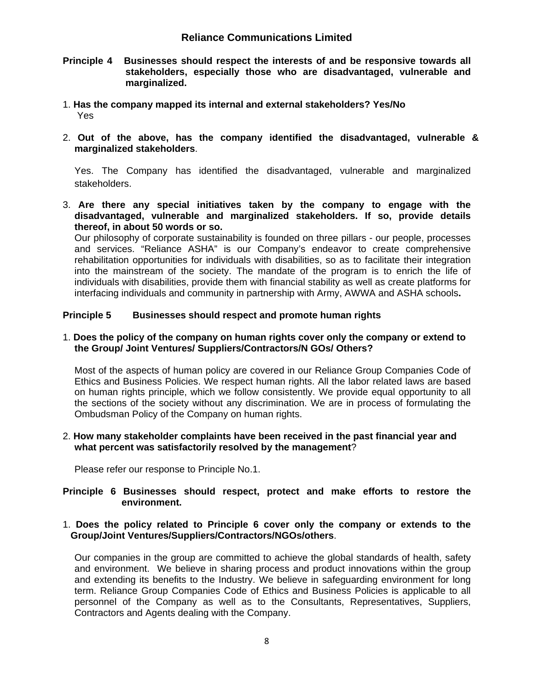- **Principle 4 Businesses should respect the interests of and be responsive towards all stakeholders, especially those who are disadvantaged, vulnerable and marginalized.**
- 1. **Has the company mapped its internal and external stakeholders? Yes/No**  Yes
- 2. **Out of the above, has the company identified the disadvantaged, vulnerable & marginalized stakeholders**.

Yes. The Company has identified the disadvantaged, vulnerable and marginalized stakeholders.

3. **Are there any special initiatives taken by the company to engage with the disadvantaged, vulnerable and marginalized stakeholders. If so, provide details thereof, in about 50 words or so.**

Our philosophy of corporate sustainability is founded on three pillars - our people, processes and services. "Reliance ASHA" is our Company's endeavor to create comprehensive rehabilitation opportunities for individuals with disabilities, so as to facilitate their integration into the mainstream of the society. The mandate of the program is to enrich the life of individuals with disabilities, provide them with financial stability as well as create platforms for interfacing individuals and community in partnership with Army, AWWA and ASHA schools**.** 

### **Principle 5 Businesses should respect and promote human rights**

#### 1. **Does the policy of the company on human rights cover only the company or extend to the Group/ Joint Ventures/ Suppliers/Contractors/N GOs/ Others?**

Most of the aspects of human policy are covered in our Reliance Group Companies Code of Ethics and Business Policies. We respect human rights. All the labor related laws are based on human rights principle, which we follow consistently. We provide equal opportunity to all the sections of the society without any discrimination. We are in process of formulating the Ombudsman Policy of the Company on human rights.

### 2. **How many stakeholder complaints have been received in the past financial year and what percent was satisfactorily resolved by the management**?

Please refer our response to Principle No.1.

### **Principle 6 Businesses should respect, protect and make efforts to restore the environment.**

### 1. **Does the policy related to Principle 6 cover only the company or extends to the Group/Joint Ventures/Suppliers/Contractors/NGOs/others**.

Our companies in the group are committed to achieve the global standards of health, safety and environment. We believe in sharing process and product innovations within the group and extending its benefits to the Industry. We believe in safeguarding environment for long term. Reliance Group Companies Code of Ethics and Business Policies is applicable to all personnel of the Company as well as to the Consultants, Representatives, Suppliers, Contractors and Agents dealing with the Company.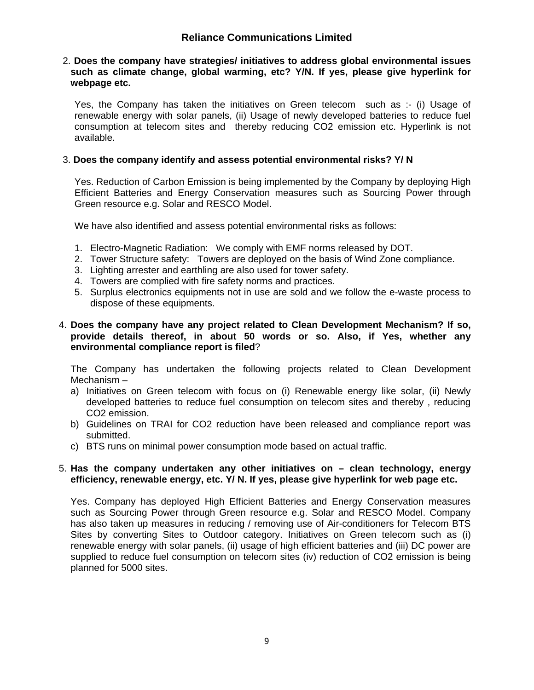#### 2. **Does the company have strategies/ initiatives to address global environmental issues such as climate change, global warming, etc? Y/N. If yes, please give hyperlink for webpage etc.**

Yes, the Company has taken the initiatives on Green telecom such as :- (i) Usage of renewable energy with solar panels, (ii) Usage of newly developed batteries to reduce fuel consumption at telecom sites and thereby reducing CO2 emission etc. Hyperlink is not available.

## 3. **Does the company identify and assess potential environmental risks? Y/ N**

Yes. Reduction of Carbon Emission is being implemented by the Company by deploying High Efficient Batteries and Energy Conservation measures such as Sourcing Power through Green resource e.g. Solar and RESCO Model.

We have also identified and assess potential environmental risks as follows:

- 1. Electro-Magnetic Radiation: We comply with EMF norms released by DOT.
- 2. Tower Structure safety: Towers are deployed on the basis of Wind Zone compliance.
- 3. Lighting arrester and earthling are also used for tower safety.
- 4. Towers are complied with fire safety norms and practices.
- 5. Surplus electronics equipments not in use are sold and we follow the e-waste process to dispose of these equipments.

#### 4. **Does the company have any project related to Clean Development Mechanism? If so, provide details thereof, in about 50 words or so. Also, if Yes, whether any environmental compliance report is filed**?

The Company has undertaken the following projects related to Clean Development Mechanism –

- a) Initiatives on Green telecom with focus on (i) Renewable energy like solar, (ii) Newly developed batteries to reduce fuel consumption on telecom sites and thereby , reducing CO2 emission.
- b) Guidelines on TRAI for CO2 reduction have been released and compliance report was submitted.
- c) BTS runs on minimal power consumption mode based on actual traffic.

### 5. **Has the company undertaken any other initiatives on – clean technology, energy efficiency, renewable energy, etc. Y/ N. If yes, please give hyperlink for web page etc.**

Yes. Company has deployed High Efficient Batteries and Energy Conservation measures such as Sourcing Power through Green resource e.g. Solar and RESCO Model. Company has also taken up measures in reducing / removing use of Air-conditioners for Telecom BTS Sites by converting Sites to Outdoor category. Initiatives on Green telecom such as (i) renewable energy with solar panels, (ii) usage of high efficient batteries and (iii) DC power are supplied to reduce fuel consumption on telecom sites (iv) reduction of CO2 emission is being planned for 5000 sites.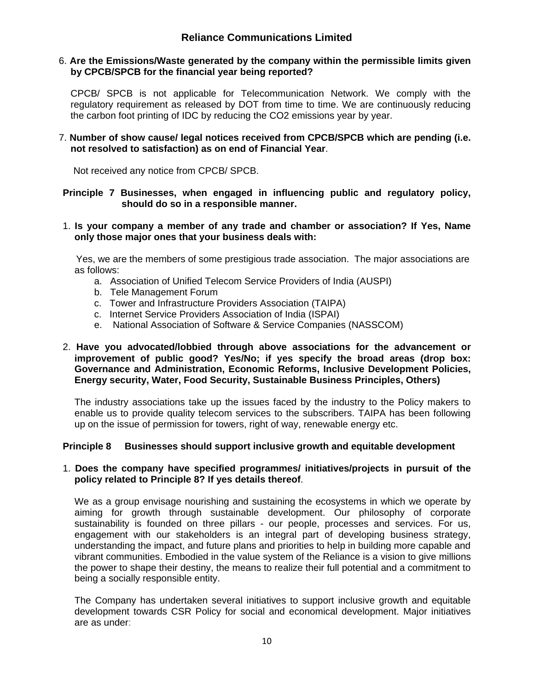### 6. **Are the Emissions/Waste generated by the company within the permissible limits given by CPCB/SPCB for the financial year being reported?**

CPCB/ SPCB is not applicable for Telecommunication Network. We comply with the regulatory requirement as released by DOT from time to time. We are continuously reducing the carbon foot printing of IDC by reducing the CO2 emissions year by year.

### 7. **Number of show cause/ legal notices received from CPCB/SPCB which are pending (i.e. not resolved to satisfaction) as on end of Financial Year**.

Not received any notice from CPCB/ SPCB.

## **Principle 7 Businesses, when engaged in influencing public and regulatory policy, should do so in a responsible manner.**

### 1. **Is your company a member of any trade and chamber or association? If Yes, Name only those major ones that your business deals with:**

 Yes, we are the members of some prestigious trade association. The major associations are as follows:

- a. Association of Unified Telecom Service Providers of India (AUSPI)
- b. Tele Management Forum
- c. Tower and Infrastructure Providers Association (TAIPA)
- c. Internet Service Providers Association of India (ISPAI)
- e. National Association of Software & Service Companies (NASSCOM)

### 2. **Have you advocated/lobbied through above associations for the advancement or improvement of public good? Yes/No; if yes specify the broad areas (drop box: Governance and Administration, Economic Reforms, Inclusive Development Policies, Energy security, Water, Food Security, Sustainable Business Principles, Others)**

The industry associations take up the issues faced by the industry to the Policy makers to enable us to provide quality telecom services to the subscribers. TAIPA has been following up on the issue of permission for towers, right of way, renewable energy etc.

## **Principle 8 Businesses should support inclusive growth and equitable development**

### 1. **Does the company have specified programmes/ initiatives/projects in pursuit of the policy related to Principle 8? If yes details thereof**.

We as a group envisage nourishing and sustaining the ecosystems in which we operate by aiming for growth through sustainable development. Our philosophy of corporate sustainability is founded on three pillars - our people, processes and services. For us, engagement with our stakeholders is an integral part of developing business strategy, understanding the impact, and future plans and priorities to help in building more capable and vibrant communities. Embodied in the value system of the Reliance is a vision to give millions the power to shape their destiny, the means to realize their full potential and a commitment to being a socially responsible entity.

The Company has undertaken several initiatives to support inclusive growth and equitable development towards CSR Policy for social and economical development. Major initiatives are as under: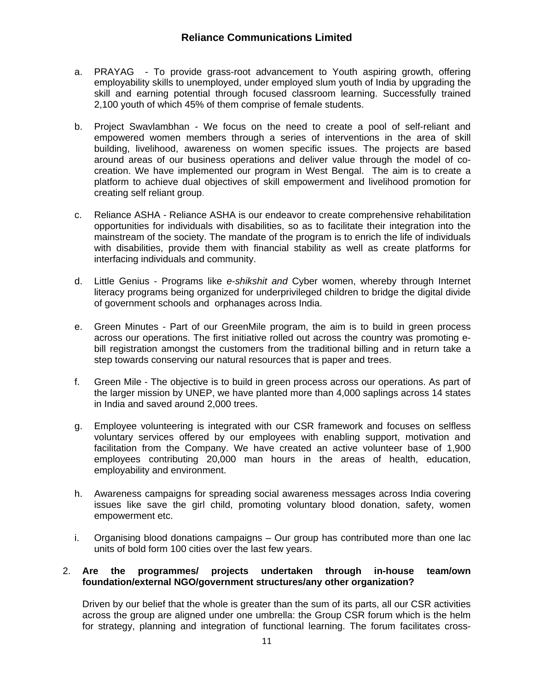- a. PRAYAG To provide grass-root advancement to Youth aspiring growth, offering employability skills to unemployed, under employed slum youth of India by upgrading the skill and earning potential through focused classroom learning. Successfully trained 2,100 youth of which 45% of them comprise of female students.
- b. Project Swavlambhan We focus on the need to create a pool of self-reliant and empowered women members through a series of interventions in the area of skill building, livelihood, awareness on women specific issues. The projects are based around areas of our business operations and deliver value through the model of cocreation. We have implemented our program in West Bengal. The aim is to create a platform to achieve dual objectives of skill empowerment and livelihood promotion for creating self reliant group.
- c. Reliance ASHA Reliance ASHA is our endeavor to create comprehensive rehabilitation opportunities for individuals with disabilities, so as to facilitate their integration into the mainstream of the society. The mandate of the program is to enrich the life of individuals with disabilities, provide them with financial stability as well as create platforms for interfacing individuals and community.
- d. Little Genius Programs like *e-shikshit and* Cyber women, whereby through Internet literacy programs being organized for underprivileged children to bridge the digital divide of government schools and orphanages across India.
- e. Green Minutes Part of our GreenMile program, the aim is to build in green process across our operations. The first initiative rolled out across the country was promoting ebill registration amongst the customers from the traditional billing and in return take a step towards conserving our natural resources that is paper and trees.
- f. Green Mile The objective is to build in green process across our operations. As part of the larger mission by UNEP, we have planted more than 4,000 saplings across 14 states in India and saved around 2,000 trees.
- g. Employee volunteering is integrated with our CSR framework and focuses on selfless voluntary services offered by our employees with enabling support, motivation and facilitation from the Company. We have created an active volunteer base of 1,900 employees contributing 20,000 man hours in the areas of health, education, employability and environment.
- h. Awareness campaigns for spreading social awareness messages across India covering issues like save the girl child, promoting voluntary blood donation, safety, women empowerment etc.
- i. Organising blood donations campaigns Our group has contributed more than one lac units of bold form 100 cities over the last few years.

## 2. **Are the programmes/ projects undertaken through in-house team/own foundation/external NGO/government structures/any other organization?**

Driven by our belief that the whole is greater than the sum of its parts, all our CSR activities across the group are aligned under one umbrella: the Group CSR forum which is the helm for strategy, planning and integration of functional learning. The forum facilitates cross-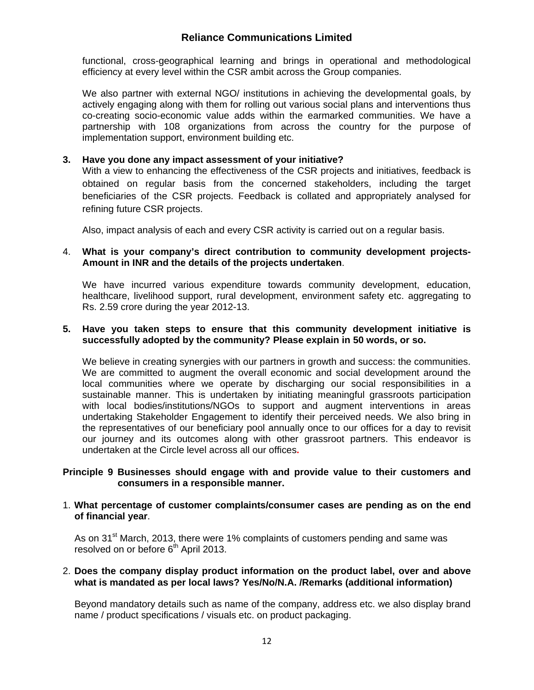functional, cross-geographical learning and brings in operational and methodological efficiency at every level within the CSR ambit across the Group companies.

We also partner with external NGO/ institutions in achieving the developmental goals, by actively engaging along with them for rolling out various social plans and interventions thus co-creating socio-economic value adds within the earmarked communities. We have a partnership with 108 organizations from across the country for the purpose of implementation support, environment building etc.

## **3. Have you done any impact assessment of your initiative?**

With a view to enhancing the effectiveness of the CSR projects and initiatives, feedback is obtained on regular basis from the concerned stakeholders, including the target beneficiaries of the CSR projects. Feedback is collated and appropriately analysed for refining future CSR projects.

Also, impact analysis of each and every CSR activity is carried out on a regular basis.

### 4. **What is your company's direct contribution to community development projects-Amount in INR and the details of the projects undertaken**.

We have incurred various expenditure towards community development, education, healthcare, livelihood support, rural development, environment safety etc. aggregating to Rs. 2.59 crore during the year 2012-13.

#### **5. Have you taken steps to ensure that this community development initiative is successfully adopted by the community? Please explain in 50 words, or so.**

We believe in creating synergies with our partners in growth and success: the communities. We are committed to augment the overall economic and social development around the local communities where we operate by discharging our social responsibilities in a sustainable manner. This is undertaken by initiating meaningful grassroots participation with local bodies/institutions/NGOs to support and augment interventions in areas undertaking Stakeholder Engagement to identify their perceived needs. We also bring in the representatives of our beneficiary pool annually once to our offices for a day to revisit our journey and its outcomes along with other grassroot partners. This endeavor is undertaken at the Circle level across all our offices**.** 

#### **Principle 9 Businesses should engage with and provide value to their customers and consumers in a responsible manner.**

### 1. **What percentage of customer complaints/consumer cases are pending as on the end of financial year**.

As on 31<sup>st</sup> March, 2013, there were 1% complaints of customers pending and same was resolved on or before 6<sup>th</sup> April 2013.

### 2. **Does the company display product information on the product label, over and above what is mandated as per local laws? Yes/No/N.A. /Remarks (additional information)**

Beyond mandatory details such as name of the company, address etc. we also display brand name / product specifications / visuals etc. on product packaging.